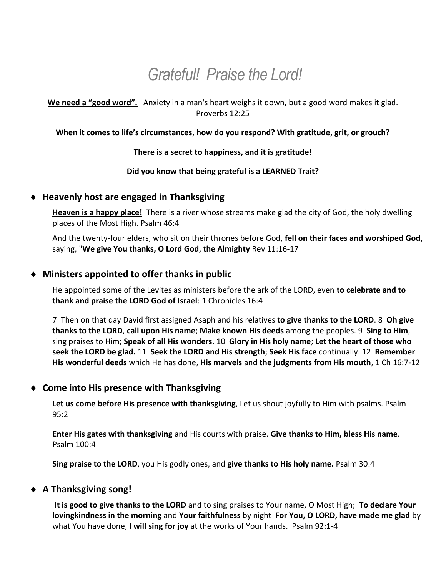# *Grateful! Praise the Lord!*

**We need a "good word".** Anxiety in a man's heart weighs it down, but a good word makes it glad. Proverbs 12:25

#### **When it comes to life's circumstances**, **how do you respond? With gratitude, grit, or grouch?**

#### **There is a secret to happiness, and it is gratitude!**

#### **Did you know that being grateful is a LEARNED Trait?**

#### **Heavenly host are engaged in Thanksgiving**

**Heaven is a happy place!** There is a river whose streams make glad the city of God, the holy dwelling places of the Most High. Psalm 46:4

And the twenty-four elders, who sit on their thrones before God, **fell on their faces and worshiped God**, saying, "**We give You thanks, O Lord God**, **the Almighty** Rev 11:16-17

### **Ministers appointed to offer thanks in public**

He appointed some of the Levites as ministers before the ark of the LORD, even **to celebrate and to thank and praise the LORD God of Israel**: 1 Chronicles 16:4

7 Then on that day David first assigned Asaph and his relatives **to give thanks to the LORD**. 8 **Oh give thanks to the LORD**, **call upon His name**; **Make known His deeds** among the peoples. 9 **Sing to Him**, sing praises to Him; **Speak of all His wonders**. 10 **Glory in His holy name**; **Let the heart of those who seek the LORD be glad.** 11 **Seek the LORD and His strength**; **Seek His face** continually. 12 **Remember His wonderful deeds** which He has done, **His marvels** and **the judgments from His mouth**, 1 Ch 16:7-12

#### **Come into His presence with Thanksgiving**

**Let us come before His presence with thanksgiving**, Let us shout joyfully to Him with psalms. Psalm 95:2

**Enter His gates with thanksgiving** and His courts with praise. **Give thanks to Him, bless His name**. Psalm 100:4

**Sing praise to the LORD**, you His godly ones, and **give thanks to His holy name.** Psalm 30:4

## **A Thanksgiving song!**

**It is good to give thanks to the LORD** and to sing praises to Your name, O Most High; **To declare Your lovingkindness in the morning** and **Your faithfulness** by night **For You, O LORD, have made me glad** by what You have done, **I will sing for joy** at the works of Your hands. Psalm 92:1-4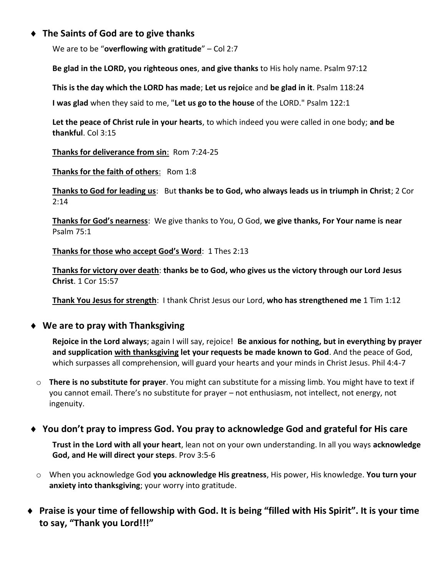## **The Saints of God are to give thanks**

We are to be "**overflowing with gratitude**" – Col 2:7

**Be glad in the LORD, you righteous ones**, **and give thanks** to His holy name. Psalm 97:12

**This is the day which the LORD has made**; **Let us rejoi**ce and **be glad in it**. Psalm 118:24

**I was glad** when they said to me, "**Let us go to the house** of the LORD." Psalm 122:1

**Let the peace of Christ rule in your hearts**, to which indeed you were called in one body; **and be thankful**. Col 3:15

**Thanks for deliverance from sin**: Rom 7:24-25

**Thanks for the faith of others**: Rom 1:8

**Thanks to God for leading us**: But **thanks be to God, who always leads us in triumph in Christ**; 2 Cor 2:14

**Thanks for God's nearness**: We give thanks to You, O God, **we give thanks, For Your name is near** Psalm 75:1

**Thanks for those who accept God's Word**: 1 Thes 2:13

**Thanks for victory over death**: **thanks be to God, who gives us the victory through our Lord Jesus Christ**. 1 Cor 15:57

**Thank You Jesus for strength**: I thank Christ Jesus our Lord, **who has strengthened me** 1 Tim 1:12

## **We are to pray with Thanksgiving**

**Rejoice in the Lord always**; again I will say, rejoice! **Be anxious for nothing, but in everything by prayer and supplication with thanksgiving let your requests be made known to God**. And the peace of God, which surpasses all comprehension, will guard your hearts and your minds in Christ Jesus. Phil 4:4-7

o **There is no substitute for prayer**. You might can substitute for a missing limb. You might have to text if you cannot email. There's no substitute for prayer – not enthusiasm, not intellect, not energy, not ingenuity.

## **You don't pray to impress God. You pray to acknowledge God and grateful for His care**

**Trust in the Lord with all your heart**, lean not on your own understanding. In all you ways **acknowledge God, and He will direct your steps**. Prov 3:5-6

- o When you acknowledge God **you acknowledge His greatness**, His power, His knowledge. **You turn your anxiety into thanksgiving**; your worry into gratitude.
- **Praise is your time of fellowship with God. It is being "filled with His Spirit". It is your time to say, "Thank you Lord!!!"**